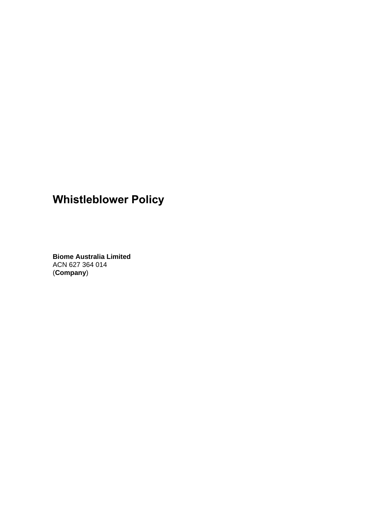# **Whistleblower Policy**

**Biome Australia Limited**  ACN 627 364 014 (**Company**)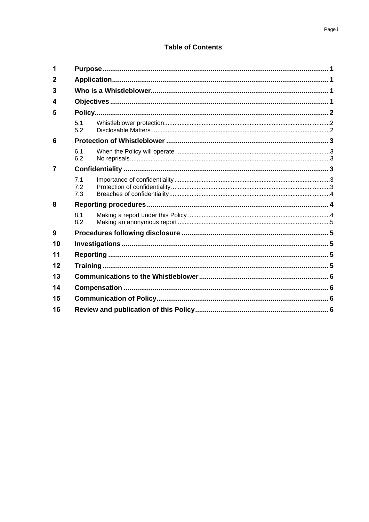# **Table of Contents**

| 1           |                   |  |  |
|-------------|-------------------|--|--|
| $\mathbf 2$ |                   |  |  |
| 3           |                   |  |  |
| 4           |                   |  |  |
| 5           |                   |  |  |
|             | 5.1<br>5.2        |  |  |
| 6           |                   |  |  |
|             | 6.1<br>6.2        |  |  |
| 7           |                   |  |  |
|             | 7.1<br>7.2<br>7.3 |  |  |
| 8           |                   |  |  |
|             | 8.1<br>8.2        |  |  |
| 9           |                   |  |  |
| 10          |                   |  |  |
| 11          |                   |  |  |
| 12          |                   |  |  |
| 13          |                   |  |  |
| 14          |                   |  |  |
| 15          |                   |  |  |
| 16          |                   |  |  |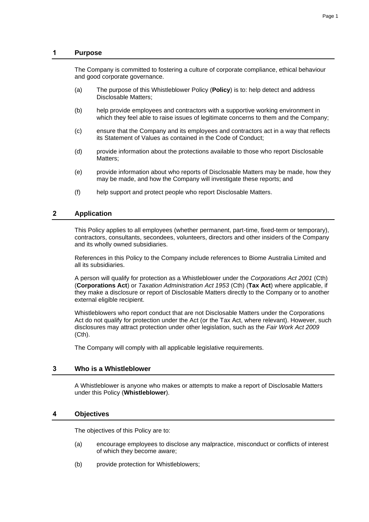## **1 Purpose**

The Company is committed to fostering a culture of corporate compliance, ethical behaviour and good corporate governance.

- (a) The purpose of this Whistleblower Policy (**Policy**) is to: help detect and address Disclosable Matters;
- (b) help provide employees and contractors with a supportive working environment in which they feel able to raise issues of legitimate concerns to them and the Company;
- (c) ensure that the Company and its employees and contractors act in a way that reflects its Statement of Values as contained in the Code of Conduct;
- (d) provide information about the protections available to those who report Disclosable Matters;
- (e) provide information about who reports of Disclosable Matters may be made, how they may be made, and how the Company will investigate these reports; and
- (f) help support and protect people who report Disclosable Matters.

# **2 Application**

This Policy applies to all employees (whether permanent, part-time, fixed-term or temporary), contractors, consultants, secondees, volunteers, directors and other insiders of the Company and its wholly owned subsidiaries.

References in this Policy to the Company include references to Biome Australia Limited and all its subsidiaries.

A person will qualify for protection as a Whistleblower under the *Corporations Act 2001* (Cth) (**Corporations Act**) or *Taxation Administration Act 1953* (Cth) (**Tax Act**) where applicable, if they make a disclosure or report of Disclosable Matters directly to the Company or to another external eligible recipient.

Whistleblowers who report conduct that are not Disclosable Matters under the Corporations Act do not qualify for protection under the Act (or the Tax Act, where relevant). However, such disclosures may attract protection under other legislation, such as the *Fair Work Act 2009*  (Cth).

The Company will comply with all applicable legislative requirements.

### **3 Who is a Whistleblower**

A Whistleblower is anyone who makes or attempts to make a report of Disclosable Matters under this Policy (**Whistleblower**).

### **4 Objectives**

The objectives of this Policy are to:

- (a) encourage employees to disclose any malpractice, misconduct or conflicts of interest of which they become aware;
- (b) provide protection for Whistleblowers;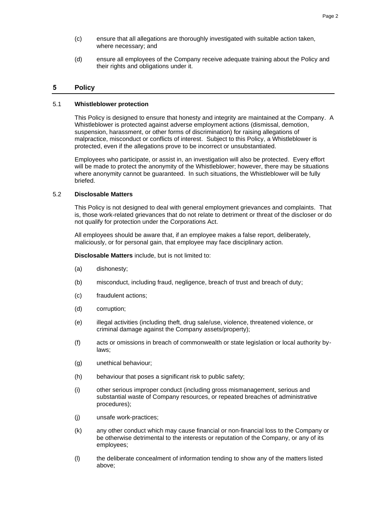- (c) ensure that all allegations are thoroughly investigated with suitable action taken, where necessary; and
- (d) ensure all employees of the Company receive adequate training about the Policy and their rights and obligations under it.

# **5 Policy**

#### 5.1 **Whistleblower protection**

This Policy is designed to ensure that honesty and integrity are maintained at the Company. A Whistleblower is protected against adverse employment actions (dismissal, demotion, suspension, harassment, or other forms of discrimination) for raising allegations of malpractice, misconduct or conflicts of interest. Subject to this Policy, a Whistleblower is protected, even if the allegations prove to be incorrect or unsubstantiated.

Employees who participate, or assist in, an investigation will also be protected. Every effort will be made to protect the anonymity of the Whistleblower; however, there may be situations where anonymity cannot be guaranteed. In such situations, the Whistleblower will be fully briefed.

## 5.2 **Disclosable Matters**

This Policy is not designed to deal with general employment grievances and complaints. That is, those work-related grievances that do not relate to detriment or threat of the discloser or do not qualify for protection under the Corporations Act.

All employees should be aware that, if an employee makes a false report, deliberately, maliciously, or for personal gain, that employee may face disciplinary action.

**Disclosable Matters** include, but is not limited to:

- (a) dishonesty;
- (b) misconduct, including fraud, negligence, breach of trust and breach of duty;
- (c) fraudulent actions;
- (d) corruption;
- (e) illegal activities (including theft, drug sale/use, violence, threatened violence, or criminal damage against the Company assets/property);
- (f) acts or omissions in breach of commonwealth or state legislation or local authority bylaws;
- (g) unethical behaviour;
- (h) behaviour that poses a significant risk to public safety;
- (i) other serious improper conduct (including gross mismanagement, serious and substantial waste of Company resources, or repeated breaches of administrative procedures);
- (j) unsafe work-practices;
- (k) any other conduct which may cause financial or non-financial loss to the Company or be otherwise detrimental to the interests or reputation of the Company, or any of its employees;
- (l) the deliberate concealment of information tending to show any of the matters listed above;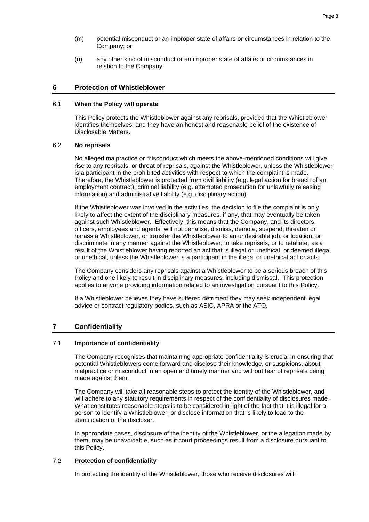- (m) potential misconduct or an improper state of affairs or circumstances in relation to the Company; or
- (n) any other kind of misconduct or an improper state of affairs or circumstances in relation to the Company.

## **6 Protection of Whistleblower**

#### 6.1 **When the Policy will operate**

This Policy protects the Whistleblower against any reprisals, provided that the Whistleblower identifies themselves, and they have an honest and reasonable belief of the existence of Disclosable Matters.

### 6.2 **No reprisals**

No alleged malpractice or misconduct which meets the above-mentioned conditions will give rise to any reprisals, or threat of reprisals, against the Whistleblower, unless the Whistleblower is a participant in the prohibited activities with respect to which the complaint is made. Therefore, the Whistleblower is protected from civil liability (e.g. legal action for breach of an employment contract), criminal liability (e.g. attempted prosecution for unlawfully releasing information) and administrative liability (e.g. disciplinary action).

If the Whistleblower was involved in the activities, the decision to file the complaint is only likely to affect the extent of the disciplinary measures, if any, that may eventually be taken against such Whistleblower. Effectively, this means that the Company, and its directors, officers, employees and agents, will not penalise, dismiss, demote, suspend, threaten or harass a Whistleblower, or transfer the Whistleblower to an undesirable job, or location, or discriminate in any manner against the Whistleblower, to take reprisals, or to retaliate, as a result of the Whistleblower having reported an act that is illegal or unethical, or deemed illegal or unethical, unless the Whistleblower is a participant in the illegal or unethical act or acts.

The Company considers any reprisals against a Whistleblower to be a serious breach of this Policy and one likely to result in disciplinary measures, including dismissal. This protection applies to anyone providing information related to an investigation pursuant to this Policy.

If a Whistleblower believes they have suffered detriment they may seek independent legal advice or contract regulatory bodies, such as ASIC, APRA or the ATO.

# **7 Confidentiality**

## 7.1 **Importance of confidentiality**

The Company recognises that maintaining appropriate confidentiality is crucial in ensuring that potential Whistleblowers come forward and disclose their knowledge, or suspicions, about malpractice or misconduct in an open and timely manner and without fear of reprisals being made against them.

The Company will take all reasonable steps to protect the identity of the Whistleblower, and will adhere to any statutory requirements in respect of the confidentiality of disclosures made. What constitutes reasonable steps is to be considered in light of the fact that it is illegal for a person to identify a Whistleblower, or disclose information that is likely to lead to the identification of the discloser.

In appropriate cases, disclosure of the identity of the Whistleblower, or the allegation made by them, may be unavoidable, such as if court proceedings result from a disclosure pursuant to this Policy.

### 7.2 **Protection of confidentiality**

In protecting the identity of the Whistleblower, those who receive disclosures will: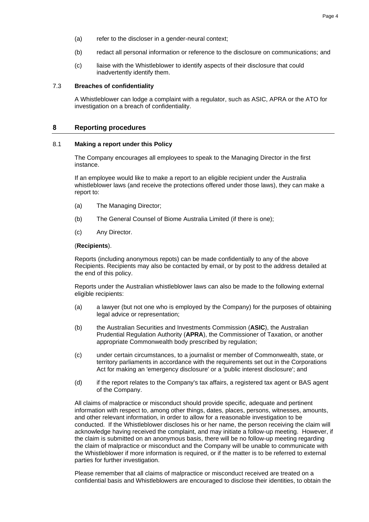- (a) refer to the discloser in a gender-neural context;
- (b) redact all personal information or reference to the disclosure on communications; and
- (c) liaise with the Whistleblower to identify aspects of their disclosure that could inadvertently identify them.

## 7.3 **Breaches of confidentiality**

A Whistleblower can lodge a complaint with a regulator, such as ASIC, APRA or the ATO for investigation on a breach of confidentiality.

## **8 Reporting procedures**

#### 8.1 **Making a report under this Policy**

The Company encourages all employees to speak to the Managing Director in the first instance.

If an employee would like to make a report to an eligible recipient under the Australia whistleblower laws (and receive the protections offered under those laws), they can make a report to:

- (a) The Managing Director;
- (b) The General Counsel of Biome Australia Limited (if there is one);
- (c) Any Director.

#### (**Recipients**).

Reports (including anonymous repots) can be made confidentially to any of the above Recipients. Recipients may also be contacted by email, or by post to the address detailed at the end of this policy.

Reports under the Australian whistleblower laws can also be made to the following external eligible recipients:

- (a) a lawyer (but not one who is employed by the Company) for the purposes of obtaining legal advice or representation;
- (b) the Australian Securities and Investments Commission (**ASIC**), the Australian Prudential Regulation Authority (**APRA**), the Commissioner of Taxation, or another appropriate Commonwealth body prescribed by regulation;
- (c) under certain circumstances, to a journalist or member of Commonwealth, state, or territory parliaments in accordance with the requirements set out in the Corporations Act for making an 'emergency disclosure' or a 'public interest disclosure'; and
- (d) if the report relates to the Company's tax affairs, a registered tax agent or BAS agent of the Company.

All claims of malpractice or misconduct should provide specific, adequate and pertinent information with respect to, among other things, dates, places, persons, witnesses, amounts, and other relevant information, in order to allow for a reasonable investigation to be conducted. If the Whistleblower discloses his or her name, the person receiving the claim will acknowledge having received the complaint, and may initiate a follow-up meeting. However, if the claim is submitted on an anonymous basis, there will be no follow-up meeting regarding the claim of malpractice or misconduct and the Company will be unable to communicate with the Whistleblower if more information is required, or if the matter is to be referred to external parties for further investigation.

Please remember that all claims of malpractice or misconduct received are treated on a confidential basis and Whistleblowers are encouraged to disclose their identities, to obtain the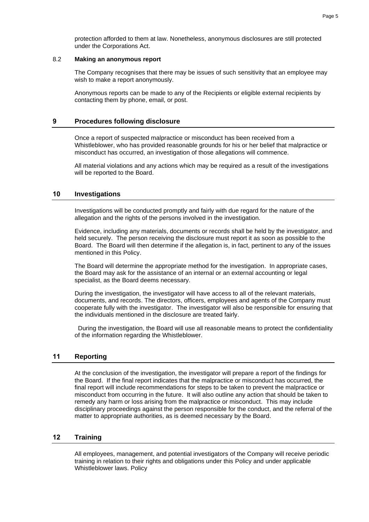protection afforded to them at law. Nonetheless, anonymous disclosures are still protected under the Corporations Act.

#### 8.2 **Making an anonymous report**

The Company recognises that there may be issues of such sensitivity that an employee may wish to make a report anonymously.

Anonymous reports can be made to any of the Recipients or eligible external recipients by contacting them by phone, email, or post.

## **9 Procedures following disclosure**

Once a report of suspected malpractice or misconduct has been received from a Whistleblower, who has provided reasonable grounds for his or her belief that malpractice or misconduct has occurred, an investigation of those allegations will commence.

All material violations and any actions which may be required as a result of the investigations will be reported to the Board.

## **10 Investigations**

Investigations will be conducted promptly and fairly with due regard for the nature of the allegation and the rights of the persons involved in the investigation.

Evidence, including any materials, documents or records shall be held by the investigator, and held securely. The person receiving the disclosure must report it as soon as possible to the Board. The Board will then determine if the allegation is, in fact, pertinent to any of the issues mentioned in this Policy.

The Board will determine the appropriate method for the investigation. In appropriate cases, the Board may ask for the assistance of an internal or an external accounting or legal specialist, as the Board deems necessary.

During the investigation, the investigator will have access to all of the relevant materials, documents, and records. The directors, officers, employees and agents of the Company must cooperate fully with the investigator. The investigator will also be responsible for ensuring that the individuals mentioned in the disclosure are treated fairly.

 During the investigation, the Board will use all reasonable means to protect the confidentiality of the information regarding the Whistleblower.

# **11 Reporting**

At the conclusion of the investigation, the investigator will prepare a report of the findings for the Board. If the final report indicates that the malpractice or misconduct has occurred, the final report will include recommendations for steps to be taken to prevent the malpractice or misconduct from occurring in the future. It will also outline any action that should be taken to remedy any harm or loss arising from the malpractice or misconduct. This may include disciplinary proceedings against the person responsible for the conduct, and the referral of the matter to appropriate authorities, as is deemed necessary by the Board.

# **12 Training**

All employees, management, and potential investigators of the Company will receive periodic training in relation to their rights and obligations under this Policy and under applicable Whistleblower laws. Policy